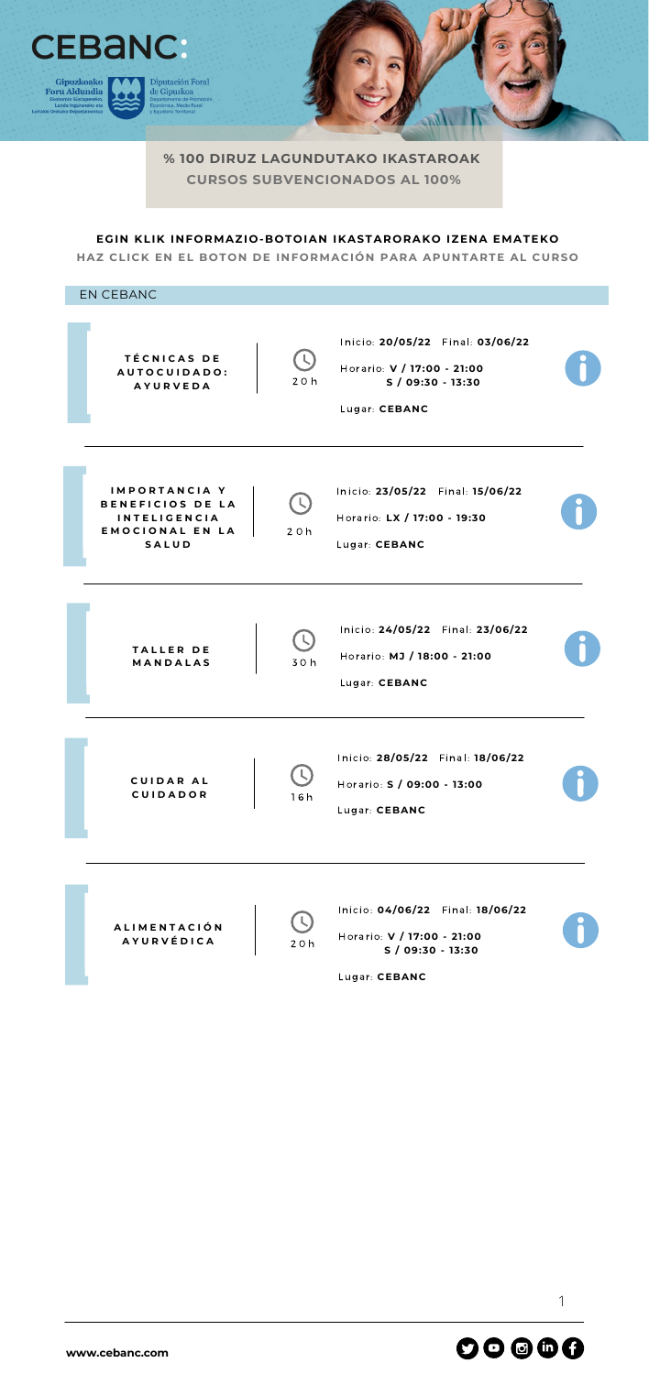

**% 100 DIRUZ LAGUNDUTAKO IKASTAROAK CURSOS SUBVENCIONADOS AL 100%**

Lugar: **CEBANC**



**[www.cebanc.com](http://www.cebanc.com/)**

1

## **EGIN KLIK INFORMAZIO-BOTOIAN IKASTARORAKO IZENA EMATEKO**

**HAZ CLICK EN EL BOTON DE INFORMACIÓN PARA APUNTARTE AL CURSO**

EN CEBANCInicio: **20/05/22** Final: **03/06/22 T É C N I C A S D E** ( L Horario: **V / 17:00 - 21:00 A U T O C U I D A D O :** 2 0 h **S / 09:30 - 13:30 A Y U R V E D A** Lugar: **CEBANC I M P O R T A N C I A Y** Inicio: **23/05/22** Final: **15/06/22 B E N E F I C I O S D E L A I N T E L I G E N C I A** Horario: **LX / 17:00 - 19:30 E M O C I O N A L E N L A** 2 0 h **S A L U D** Lugar: **CEBANC** Inicio: **24/05/22** Final: **23/06/22**  $\overline{L}$ **T A L L E R D E** Horario: **MJ / 18:00 - 21:00 M A N D A L A S** 3 0 h Lugar: **CEBANC** Inicio: **28/05/22** Final: **18/06/22** ( L **C U I D A R A L** Horario: **S / 09:00 - 13:00**  $\begin{array}{ccc} \textbf{C} \textbf{U} & \textbf{D} \textbf{A} \textbf{D} \textbf{O} \textbf{R} \end{array}$  16 h Lugar: **CEBANC** Inicio: **04/06/22** Final: **18/06/22 A L I M E N T A C I Ó N** Horario: **V / 17:00 - 21:00 A Y U R V É D I C A** 2 0 h **S / 09:30 - 13:30**